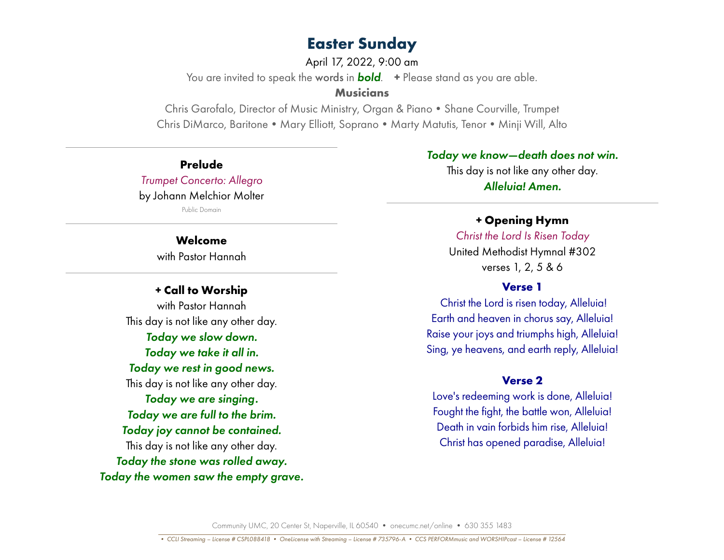April 17, 2022, 9:00 am

You are invited to speak the words in *bold*. **+** Please stand as you are able.

## **Musicians**

Chris Garofalo, Director of Music Ministry, Organ & Piano • Shane Courville, Trumpet Chris DiMarco, Baritone • Mary Elliott, Soprano • Marty Matutis, Tenor • Minji Will, Alto

**Prelude** *Trumpet Concerto: Allegro* by Johann Melchior Molter Public Domain

## **Welcome** with Pastor Hannah

## **+ Call to Worship** with Pastor Hannah This day is not like any other day. *Today we slow down. Today we take it all in. Today we rest in good news.* This day is not like any other day. *Today we are singing. Today we are full to the brim. Today joy cannot be contained.* This day is not like any other day. *Today the stone was rolled away. Today the women saw the empty grave.*

## *Today we know—death does not win.*

This day is not like any other day. *Alleluia! Amen.*

## **+ Opening Hymn**

*Christ the Lord Is Risen Today*  United Methodist Hymnal #302 verses 1, 2, 5 & 6

## **Verse 1**

Christ the Lord is risen today, Alleluia! Earth and heaven in chorus say, Alleluia! Raise your joys and triumphs high, Alleluia! Sing, ye heavens, and earth reply, Alleluia!

## **Verse 2**

Love's redeeming work is done, Alleluia! Fought the fight, the battle won, Alleluia! Death in vain forbids him rise, Alleluia! Christ has opened paradise, Alleluia!

Community UMC, 20 Center St, Naperville, IL 60540 • onecumc.net/online • 630 355 1483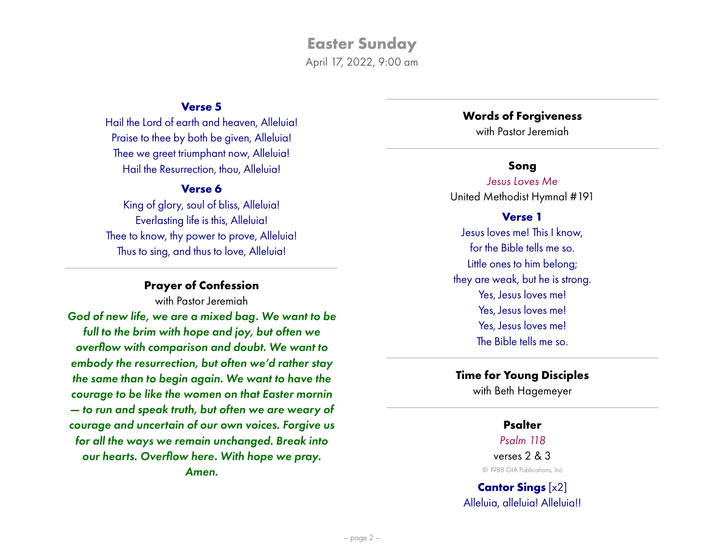April 17, 2022, 9:00 am

## **Verse 5**

Hail the Lord of earth and heaven, Alleluia! Praise to thee by both be given, Alleluia! Thee we greet triumphant now, Alleluia! Hail the Resurrection, thou, Alleluia!

## **Verse 6**

King of glory, soul of bliss, Alleluia! Everlasting life is this, Alleluia! Thee to know, thy power to prove, Alleluia! Thus to sing, and thus to love, Alleluia!

## **Prayer of Confession**

with Pastor Jeremiah

*God of new life, we are a mixed bag. We want to be full to the brim with hope and joy, but often we overflow with comparison and doubt. We want to embody the resurrection, but often we'd rather stay the same than to begin again. We want to have the courage to be like the women on that Easter mornin — to run and speak truth, but often we are weary of courage and uncertain of our own voices. Forgive us for all the ways we remain unchanged. Break into our hearts. Overflow here. With hope we pray. Amen.*

#### **Words of Forgiveness**

with Pastor Jeremiah

## **Song**

*Jesus Loves Me* United Methodist Hymnal #191

## **Verse 1**

Jesus loves me! This I know, for the Bible tells me so. Little ones to him belong; they are weak, but he is strong. Yes, Jesus loves me! Yes, Jesus loves me! Yes, Jesus loves me! The Bible tells me so.

## **Time for Young Disciples**

with Beth Hagemeyer

## **Psalter**

#### *Psalm 118*

verses 2 & 3 © 1988 GIA Publications, Inc

**Cantor Sings** [x2] Alleluia, alleluia! Alleluia!!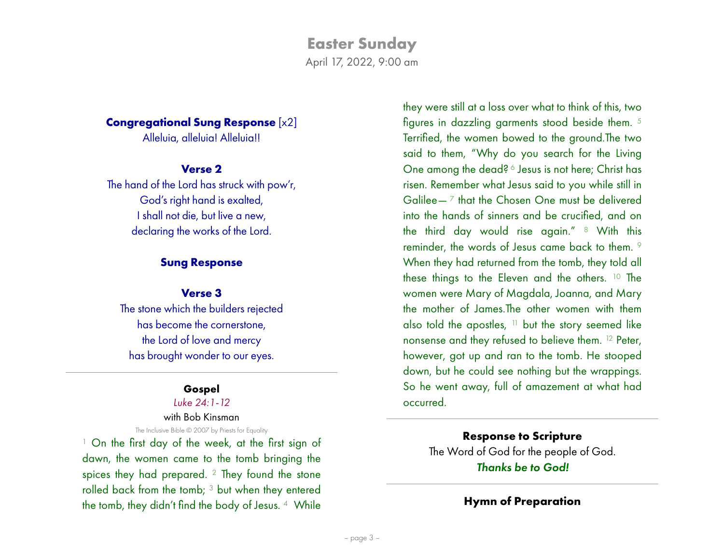April 17, 2022, 9:00 am

## **Congregational Sung Response** [x2]

Alleluia, alleluia! Alleluia!!

## **Verse 2**

The hand of the Lord has struck with pow'r, God's right hand is exalted, I shall not die, but live a new, declaring the works of the Lord.

## **Sung Response**

## **Verse 3**

The stone which the builders rejected has become the cornerstone, the Lord of love and mercy has brought wonder to our eyes.

## **Gospel**

## *Luke 24:1-12*

#### with Bob Kinsman The Inclusive Bible © 2007 by Priests for Equality

1 On the first day of the week, at the first sign of dawn, the women came to the tomb bringing the spices they had prepared. 2 They found the stone rolled back from the tomb; 3 but when they entered the tomb, they didn't find the body of Jesus. 4 While

they were still at a loss over what to think of this, two figures in dazzling garments stood beside them. 5 Terrified, the women bowed to the ground.The two said to them, "Why do you search for the Living One among the dead? 6 Jesus is not here; Christ has risen. Remember what Jesus said to you while still in Galilee— $<sup>7</sup>$  that the Chosen One must be delivered</sup> into the hands of sinners and be crucified, and on the third day would rise again." 8 With this reminder, the words of Jesus came back to them. 9 When they had returned from the tomb, they told all these things to the Eleven and the others. 10 The women were Mary of Magdala, Joanna, and Mary the mother of James.The other women with them also told the apostles,  $11$  but the story seemed like nonsense and they refused to believe them. 12 Peter, however, got up and ran to the tomb. He stooped down, but he could see nothing but the wrappings. So he went away, full of amazement at what had occurred.

**Response to Scripture** The Word of God for the people of God. *Thanks be to God!*

## **Hymn of Preparation**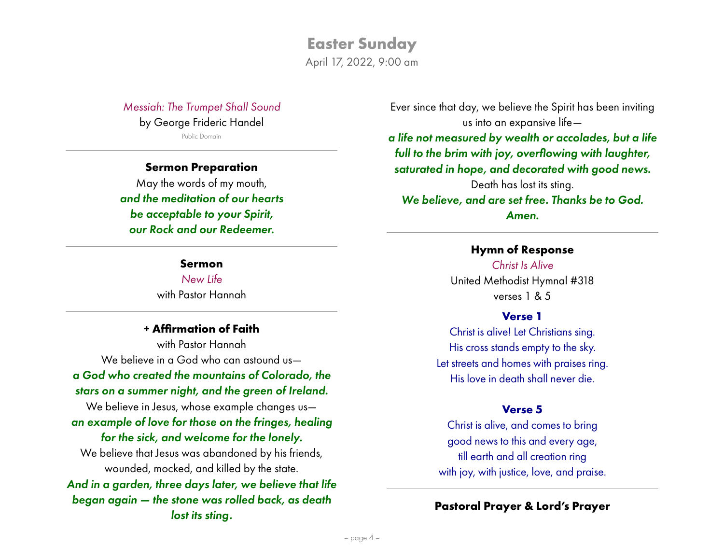**Easter Sunday** April 17, 2022, 9:00 am

*Messiah: The Trumpet Shall Sound* by George Frideric Handel Public Domain

**Sermon Preparation** May the words of my mouth, *and the meditation of our hearts be acceptable to your Spirit, our Rock and our Redeemer.*

#### **Sermon**

*New Life* with Pastor Hannah

#### **+ Affirmation of Faith**

with Pastor Hannah We believe in a God who can astound us*a God who created the mountains of Colorado, the stars on a summer night, and the green of Ireland.* We believe in Jesus, whose example changes us *an example of love for those on the fringes, healing for the sick, and welcome for the lonely.* We believe that Jesus was abandoned by his friends, wounded, mocked, and killed by the state. *And in a garden, three days later, we believe that life began again — the stone was rolled back, as death lost its sting.*

Ever since that day, we believe the Spirit has been inviting us into an expansive life—

*a life not measured by wealth or accolades, but a life full to the brim with joy, overflowing with laughter, saturated in hope, and decorated with good news.* Death has lost its sting. *We believe, and are set free. Thanks be to God. Amen.*

#### **Hymn of Response**

*Christ Is Alive* United Methodist Hymnal #318 verses 1 & 5

#### **Verse 1**

Christ is alive! Let Christians sing. His cross stands empty to the sky. Let streets and homes with praises ring. His love in death shall never die.

## **Verse 5**

Christ is alive, and comes to bring good news to this and every age, till earth and all creation ring with joy, with justice, love, and praise.

## **Pastoral Prayer & Lord's Prayer**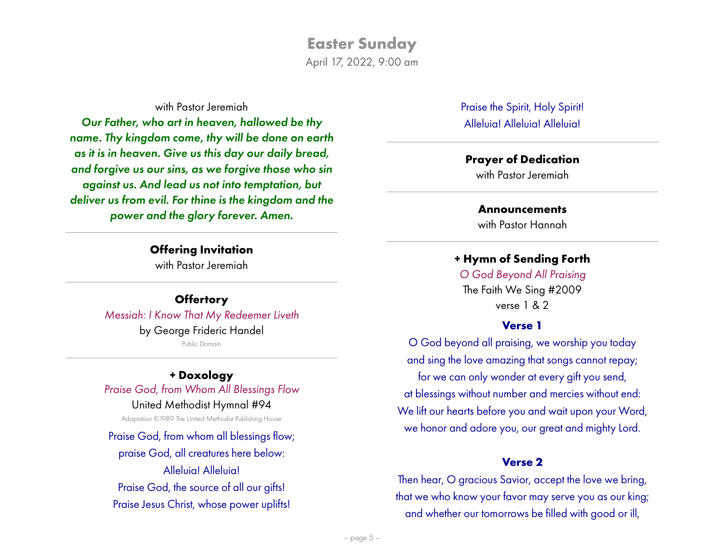April 17, 2022, 9:00 am

#### with Pastor Jeremiah

*Our Father, who art in heaven, hallowed be thy name. Thy kingdom come, thy will be done on earth as it is in heaven. Give us this day our daily bread, and forgive us our sins, as we forgive those who sin against us. And lead us not into temptation, but deliver us from evil. For thine is the kingdom and the power and the glory forever. Amen.*

> **Offering Invitation** with Pastor Jeremiah

**Offertory** *Messiah: I Know That My Redeemer Liveth* by George Frideric Handel Public Domain

## **+ Doxology**

*Praise God, from Whom All Blessings Flow* United Methodist Hymnal #94 Adaptation ©1989 The United Methodist Publishing House

Praise God, from whom all blessings flow; praise God, all creatures here below: Alleluia! Alleluia! Praise God, the source of all our gifts! Praise Jesus Christ, whose power uplifts!

Praise the Spirit, Holy Spirit! Alleluia! Alleluia! Alleluia!

#### **Prayer of Dedication**

with Pastor Jeremiah

#### **Announcements**

with Pastor Hannah

### **+ Hymn of Sending Forth**

*O God Beyond All Praising* The Faith We Sing #2009 verse 1 & 2

## **Verse 1**

O God beyond all praising, we worship you today and sing the love amazing that songs cannot repay; for we can only wonder at every gift you send, at blessings without number and mercies without end: We lift our hearts before you and wait upon your Word, we honor and adore you, our great and mighty Lord.

#### **Verse 2**

Then hear, O gracious Savior, accept the love we bring, that we who know your favor may serve you as our king; and whether our tomorrows be filled with good or ill,